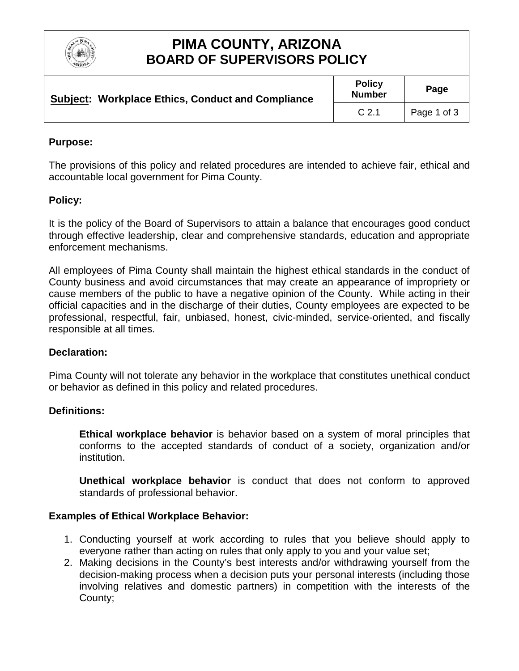

## **PIMA COUNTY, ARIZONA BOARD OF SUPERVISORS POLICY**

| <b>Subject: Workplace Ethics, Conduct and Compliance</b> | <b>Policy</b><br><b>Number</b> | Page        |
|----------------------------------------------------------|--------------------------------|-------------|
|                                                          | C <sub>2.1</sub>               | Page 1 of 3 |

### **Purpose:**

The provisions of this policy and related procedures are intended to achieve fair, ethical and accountable local government for Pima County.

### **Policy:**

It is the policy of the Board of Supervisors to attain a balance that encourages good conduct through effective leadership, clear and comprehensive standards, education and appropriate enforcement mechanisms.

All employees of Pima County shall maintain the highest ethical standards in the conduct of County business and avoid circumstances that may create an appearance of impropriety or cause members of the public to have a negative opinion of the County. While acting in their official capacities and in the discharge of their duties, County employees are expected to be professional, respectful, fair, unbiased, honest, civic-minded, service-oriented, and fiscally responsible at all times.

#### **Declaration:**

Pima County will not tolerate any behavior in the workplace that constitutes unethical conduct or behavior as defined in this policy and related procedures.

#### **Definitions:**

**Ethical workplace behavior** is behavior based on a system of moral principles that conforms to the accepted standards of conduct of a society, organization and/or institution.

**Unethical workplace behavior** is conduct that does not conform to approved standards of professional behavior.

#### **Examples of Ethical Workplace Behavior:**

- 1. Conducting yourself at work according to rules that you believe should apply to everyone rather than acting on rules that only apply to you and your value set;
- 2. Making decisions in the County's best interests and/or withdrawing yourself from the decision-making process when a decision puts your personal interests (including those involving relatives and domestic partners) in competition with the interests of the County;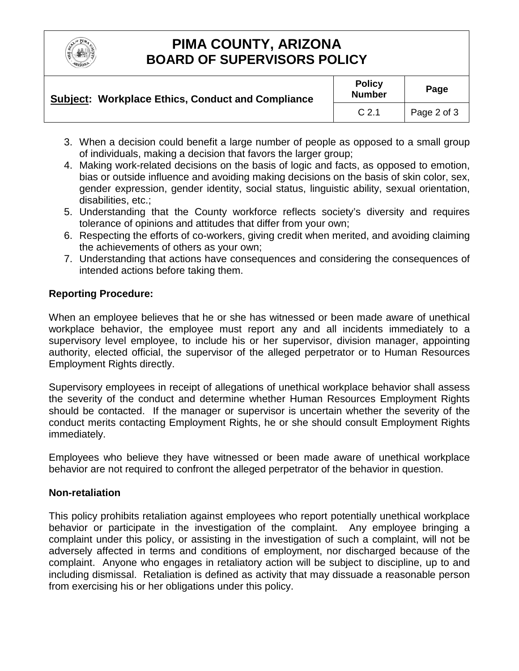

# **PIMA COUNTY, ARIZONA BOARD OF SUPERVISORS POLICY**

| <b>Subject: Workplace Ethics, Conduct and Compliance</b> | <b>Policy</b><br><b>Number</b> | Page        |
|----------------------------------------------------------|--------------------------------|-------------|
|                                                          | C <sub>2.1</sub>               | Page 2 of 3 |

- 3. When a decision could benefit a large number of people as opposed to a small group of individuals, making a decision that favors the larger group;
- 4. Making work-related decisions on the basis of logic and facts, as opposed to emotion, bias or outside influence and avoiding making decisions on the basis of skin color, sex, gender expression, gender identity, social status, linguistic ability, sexual orientation, disabilities, etc.;
- 5. Understanding that the County workforce reflects society's diversity and requires tolerance of opinions and attitudes that differ from your own;
- 6. Respecting the efforts of co-workers, giving credit when merited, and avoiding claiming the achievements of others as your own;
- 7. Understanding that actions have consequences and considering the consequences of intended actions before taking them.

### **Reporting Procedure:**

When an employee believes that he or she has witnessed or been made aware of unethical workplace behavior, the employee must report any and all incidents immediately to a supervisory level employee, to include his or her supervisor, division manager, appointing authority, elected official, the supervisor of the alleged perpetrator or to Human Resources Employment Rights directly.

Supervisory employees in receipt of allegations of unethical workplace behavior shall assess the severity of the conduct and determine whether Human Resources Employment Rights should be contacted. If the manager or supervisor is uncertain whether the severity of the conduct merits contacting Employment Rights, he or she should consult Employment Rights immediately.

Employees who believe they have witnessed or been made aware of unethical workplace behavior are not required to confront the alleged perpetrator of the behavior in question.

### **Non-retaliation**

This policy prohibits retaliation against employees who report potentially unethical workplace behavior or participate in the investigation of the complaint. Any employee bringing a complaint under this policy, or assisting in the investigation of such a complaint, will not be adversely affected in terms and conditions of employment, nor discharged because of the complaint. Anyone who engages in retaliatory action will be subject to discipline, up to and including dismissal. Retaliation is defined as activity that may dissuade a reasonable person from exercising his or her obligations under this policy.